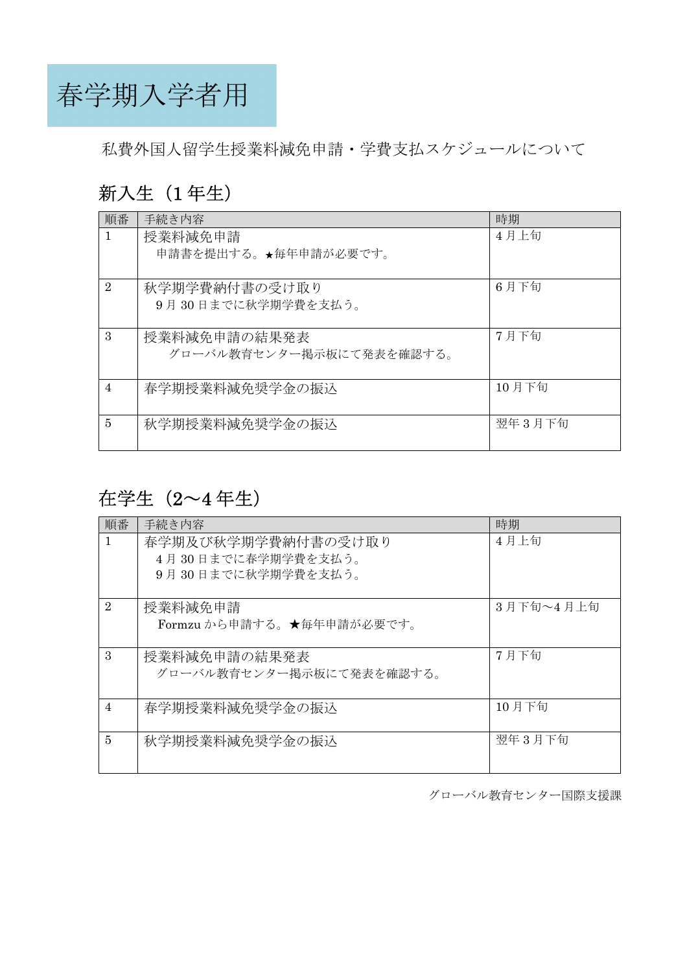春学期入学者用

私費外国人留学生授業料減免申請・学費支払スケジュールについて

## 新入生 (1年生)

| 順番             | 手続き内容                    | 時期       |
|----------------|--------------------------|----------|
| 1              | 授業料減免申請                  | 4月上旬     |
|                | 申請書を提出する。★毎年申請が必要です。     |          |
|                |                          |          |
| $\overline{2}$ | 秋学期学費納付書の受け取り            | 6月下旬     |
|                | 9月30日までに秋学期学費を支払う。       |          |
|                |                          |          |
| 3              | 授業料減免申請の結果発表             | 7月下旬     |
|                | グローバル教育センター掲示板にて発表を確認する。 |          |
|                |                          |          |
| $\overline{4}$ | 春学期授業料減免奨学金の振込           | $10$ 月下旬 |
|                |                          |          |
| 5              | 秋学期授業料減免奨学金の振込           | 翌年3月下旬   |
|                |                          |          |

## 在学生(2~4 年生)

| 順番             | 手続き内容                     | 時期        |
|----------------|---------------------------|-----------|
|                | 春学期及び秋学期学費納付書の受け取り        | 4月上旬      |
|                | 4月30日までに春学期学費を支払う。        |           |
|                | 9月30日までに秋学期学費を支払う。        |           |
|                |                           |           |
| $\overline{2}$ | 授業料減免申請                   | 3月下旬~4月上旬 |
|                | Formzu から申請する。★毎年申請が必要です。 |           |
|                |                           |           |
| $\mathcal{S}$  | 授業料減免申請の結果発表              | 7月下旬      |
|                | グローバル教育センター掲示板にて発表を確認する。  |           |
|                |                           |           |
| 4              | 春学期授業料減免奨学金の振込            | 10 月下旬    |
|                |                           |           |
| 5              | 秋学期授業料減免奨学金の振込            | 翌年 3 月下旬  |
|                |                           |           |
|                |                           |           |

グローバル教育センター国際支援課